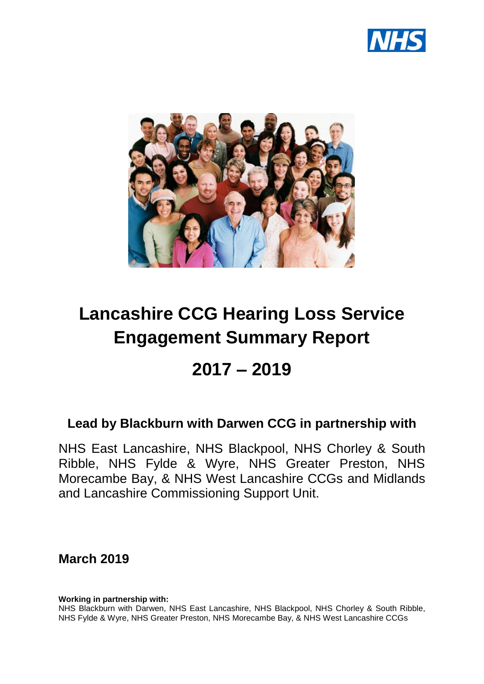



# **Lancashire CCG Hearing Loss Service Engagement Summary Report**

## **2017 – 2019**

## **Lead by Blackburn with Darwen CCG in partnership with**

NHS East Lancashire, NHS Blackpool, NHS Chorley & South Ribble, NHS Fylde & Wyre, NHS Greater Preston, NHS Morecambe Bay, & NHS West Lancashire CCGs and Midlands and Lancashire Commissioning Support Unit.

**March 2019**

**Working in partnership with:**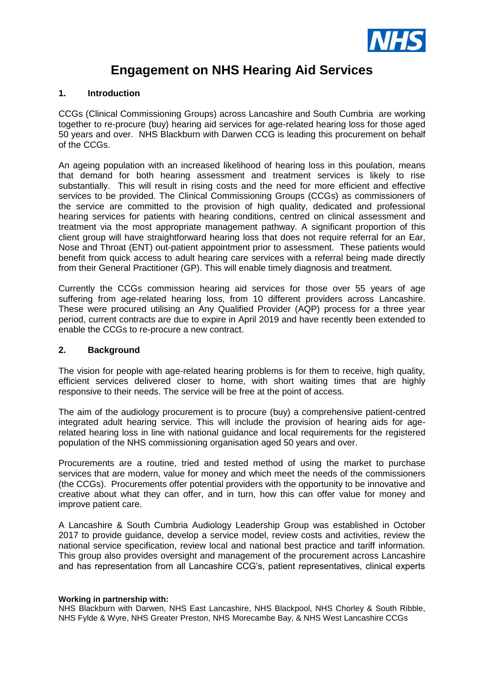

## **Engagement on NHS Hearing Aid Services**

#### **1. Introduction**

CCGs (Clinical Commissioning Groups) across Lancashire and South Cumbria are working together to re-procure (buy) hearing aid services for age-related hearing loss for those aged 50 years and over. NHS Blackburn with Darwen CCG is leading this procurement on behalf of the CCGs.

An ageing population with an increased likelihood of hearing loss in this poulation, means that demand for both hearing assessment and treatment services is likely to rise substantially. This will result in rising costs and the need for more efficient and effective services to be provided. The Clinical Commissioning Groups (CCGs) as commissioners of the service are committed to the provision of high quality, dedicated and professional hearing services for patients with hearing conditions, centred on clinical assessment and treatment via the most appropriate management pathway. A significant proportion of this client group will have straightforward hearing loss that does not require referral for an Ear, Nose and Throat (ENT) out-patient appointment prior to assessment. These patients would benefit from quick access to adult hearing care services with a referral being made directly from their General Practitioner (GP). This will enable timely diagnosis and treatment.

Currently the CCGs commission hearing aid services for those over 55 years of age suffering from age-related hearing loss, from 10 different providers across Lancashire. These were procured utilising an Any Qualified Provider (AQP) process for a three year period, current contracts are due to expire in April 2019 and have recently been extended to enable the CCGs to re-procure a new contract.

#### **2. Background**

The vision for people with age-related hearing problems is for them to receive, high quality, efficient services delivered closer to home, with short waiting times that are highly responsive to their needs. The service will be free at the point of access.

The aim of the audiology procurement is to procure (buy) a comprehensive patient-centred integrated adult hearing service. This will include the provision of hearing aids for agerelated hearing loss in line with national guidance and local requirements for the registered population of the NHS commissioning organisation aged 50 years and over.

Procurements are a routine, tried and tested method of using the market to purchase services that are modern, value for money and which meet the needs of the commissioners (the CCGs). Procurements offer potential providers with the opportunity to be innovative and creative about what they can offer, and in turn, how this can offer value for money and improve patient care.

A Lancashire & South Cumbria Audiology Leadership Group was established in October 2017 to provide guidance, develop a service model, review costs and activities, review the national service specification, review local and national best practice and tariff information. This group also provides oversight and management of the procurement across Lancashire and has representation from all Lancashire CCG's, patient representatives, clinical experts

#### **Working in partnership with:**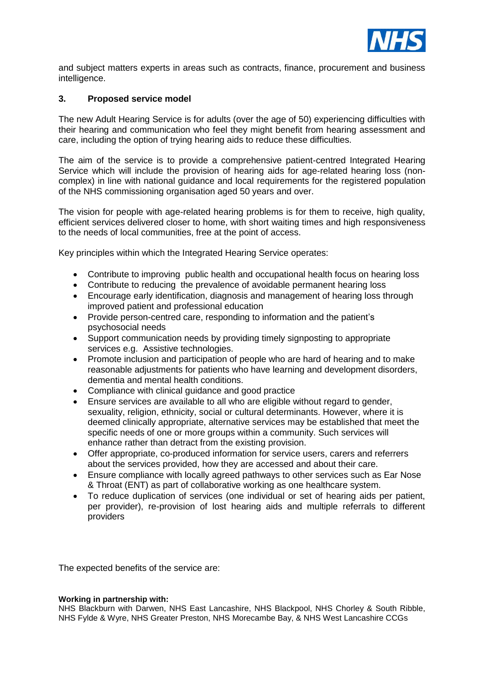

and subject matters experts in areas such as contracts, finance, procurement and business intelligence.

#### **3. Proposed service model**

The new Adult Hearing Service is for adults (over the age of 50) experiencing difficulties with their hearing and communication who feel they might benefit from hearing assessment and care, including the option of trying hearing aids to reduce these difficulties.

The aim of the service is to provide a comprehensive patient-centred Integrated Hearing Service which will include the provision of hearing aids for age-related hearing loss (noncomplex) in line with national guidance and local requirements for the registered population of the NHS commissioning organisation aged 50 years and over.

The vision for people with age-related hearing problems is for them to receive, high quality, efficient services delivered closer to home, with short waiting times and high responsiveness to the needs of local communities, free at the point of access.

Key principles within which the Integrated Hearing Service operates:

- Contribute to improving public health and occupational health focus on hearing loss
- Contribute to reducing the prevalence of avoidable permanent hearing loss
- Encourage early identification, diagnosis and management of hearing loss through improved patient and professional education
- Provide person-centred care, responding to information and the patient's psychosocial needs
- Support communication needs by providing timely signposting to appropriate services e.g. Assistive technologies.
- Promote inclusion and participation of people who are hard of hearing and to make reasonable adjustments for patients who have learning and development disorders, dementia and mental health conditions.
- Compliance with clinical guidance and good practice
- Ensure services are available to all who are eligible without regard to gender, sexuality, religion, ethnicity, social or cultural determinants. However, where it is deemed clinically appropriate, alternative services may be established that meet the specific needs of one or more groups within a community. Such services will enhance rather than detract from the existing provision.
- Offer appropriate, co-produced information for service users, carers and referrers about the services provided, how they are accessed and about their care.
- Ensure compliance with locally agreed pathways to other services such as Ear Nose & Throat (ENT) as part of collaborative working as one healthcare system.
- To reduce duplication of services (one individual or set of hearing aids per patient, per provider), re-provision of lost hearing aids and multiple referrals to different providers

The expected benefits of the service are:

#### **Working in partnership with:**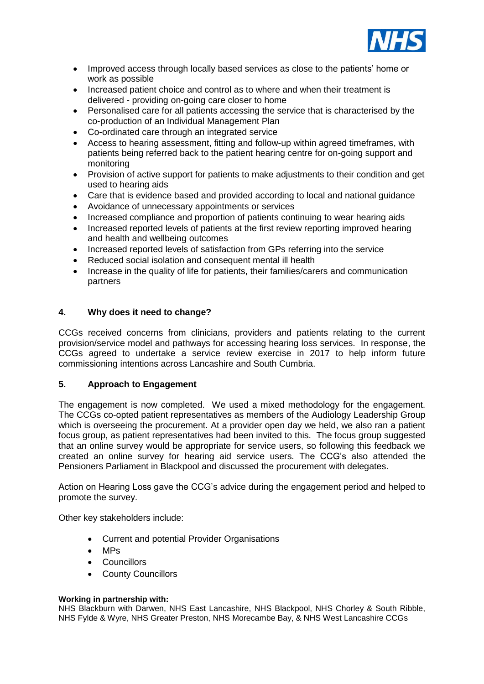

- Improved access through locally based services as close to the patients' home or work as possible
- Increased patient choice and control as to where and when their treatment is delivered - providing on-going care closer to home
- Personalised care for all patients accessing the service that is characterised by the co-production of an Individual Management Plan
- Co-ordinated care through an integrated service
- Access to hearing assessment, fitting and follow-up within agreed timeframes, with patients being referred back to the patient hearing centre for on-going support and monitoring
- Provision of active support for patients to make adiustments to their condition and get used to hearing aids
- Care that is evidence based and provided according to local and national guidance
- Avoidance of unnecessary appointments or services
- Increased compliance and proportion of patients continuing to wear hearing aids
- Increased reported levels of patients at the first review reporting improved hearing and health and wellbeing outcomes
- Increased reported levels of satisfaction from GPs referring into the service
- Reduced social isolation and consequent mental ill health
- Increase in the quality of life for patients, their families/carers and communication partners

#### **4. Why does it need to change?**

CCGs received concerns from clinicians, providers and patients relating to the current provision/service model and pathways for accessing hearing loss services. In response, the CCGs agreed to undertake a service review exercise in 2017 to help inform future commissioning intentions across Lancashire and South Cumbria.

#### **5. Approach to Engagement**

The engagement is now completed. We used a mixed methodology for the engagement. The CCGs co-opted patient representatives as members of the Audiology Leadership Group which is overseeing the procurement. At a provider open day we held, we also ran a patient focus group, as patient representatives had been invited to this. The focus group suggested that an online survey would be appropriate for service users, so following this feedback we created an online survey for hearing aid service users. The CCG's also attended the Pensioners Parliament in Blackpool and discussed the procurement with delegates.

Action on Hearing Loss gave the CCG's advice during the engagement period and helped to promote the survey.

Other key stakeholders include:

- Current and potential Provider Organisations
- MPs
- Councillors
- County Councillors

#### **Working in partnership with:**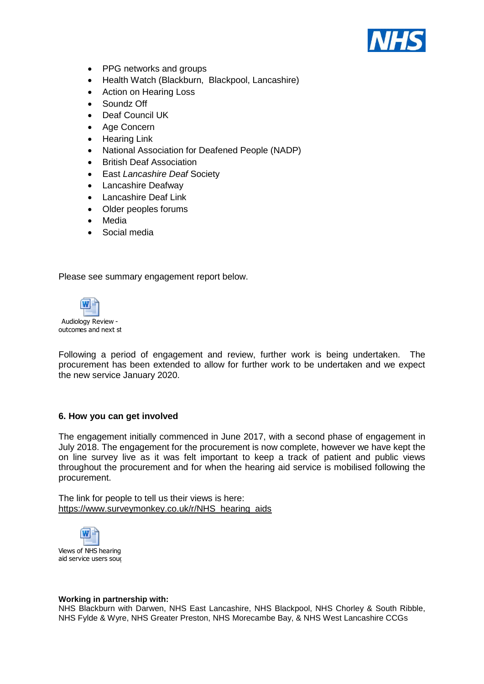

- PPG networks and groups
- Health Watch (Blackburn, Blackpool, Lancashire)
- Action on Hearing Loss
- Soundz Off
- Deaf Council UK
- Age Concern
- Hearing Link
- National Association for Deafened People (NADP)
- British Deaf Association
- East *Lancashire Deaf* Society
- Lancashire Deafway
- Lancashire Deaf Link
- Older peoples forums
- Media
- Social media

Please see summary engagement report below.



Following a period of engagement and review, further work is being undertaken. The procurement has been extended to allow for further work to be undertaken and we expect the new service January 2020.

#### **6. How you can get involved**

The engagement initially commenced in June 2017, with a second phase of engagement in July 2018. The engagement for the procurement is now complete, however we have kept the on line survey live as it was felt important to keep a track of patient and public views throughout the procurement and for when the hearing aid service is mobilised following the procurement.

The link for people to tell us their views is here: [https://www.surveymonkey.co.uk/r/NHS\\_hearing\\_aids](https://www.surveymonkey.co.uk/r/NHS_hearing_aids)



#### **Working in partnership with:**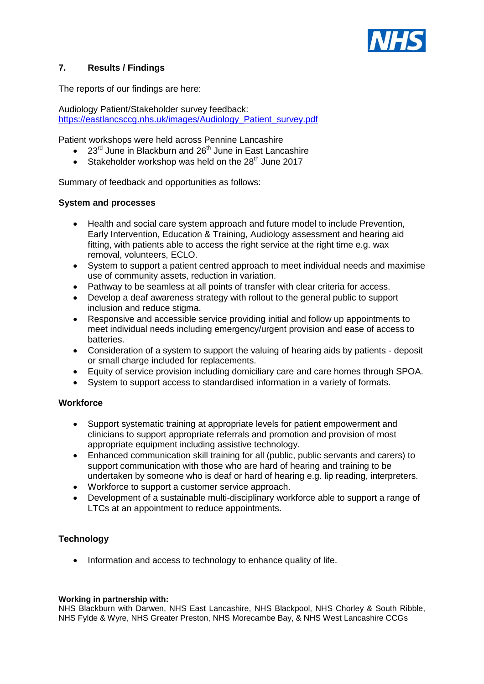

#### **7. Results / Findings**

The reports of our findings are here:

[Audiology Patient/Stakeholder](https://eastlancsccg.nhs.uk/images/Audiology_Patient_survey.pdf) survey feedback: [https://eastlancsccg.nhs.uk/images/Audiology\\_Patient\\_survey.pdf](https://eastlancsccg.nhs.uk/images/Audiology_Patient_survey.pdf)

Patient workshops were held across Pennine Lancashire

- $\bullet$  23<sup>rd</sup> June in Blackburn and 26<sup>th</sup> June in East Lancashire
- Stakeholder workshop was held on the  $28<sup>th</sup>$  June 2017

Summary of feedback and opportunities as follows:

#### **System and processes**

- Health and social care system approach and future model to include Prevention, Early Intervention, Education & Training, Audiology assessment and hearing aid fitting, with patients able to access the right service at the right time e.g. wax removal, volunteers, ECLO.
- System to support a patient centred approach to meet individual needs and maximise use of community assets, reduction in variation.
- Pathway to be seamless at all points of transfer with clear criteria for access.
- Develop a deaf awareness strategy with rollout to the general public to support inclusion and reduce stigma.
- Responsive and accessible service providing initial and follow up appointments to meet individual needs including emergency/urgent provision and ease of access to batteries.
- Consideration of a system to support the valuing of hearing aids by patients deposit or small charge included for replacements.
- Equity of service provision including domiciliary care and care homes through SPOA.
- System to support access to standardised information in a variety of formats.

#### **Workforce**

- Support systematic training at appropriate levels for patient empowerment and clinicians to support appropriate referrals and promotion and provision of most appropriate equipment including assistive technology.
- Enhanced communication skill training for all (public, public servants and carers) to support communication with those who are hard of hearing and training to be undertaken by someone who is deaf or hard of hearing e.g. lip reading, interpreters.
- Workforce to support a customer service approach.
- Development of a sustainable multi-disciplinary workforce able to support a range of LTCs at an appointment to reduce appointments.

#### **Technology**

• Information and access to technology to enhance quality of life.

#### **Working in partnership with:**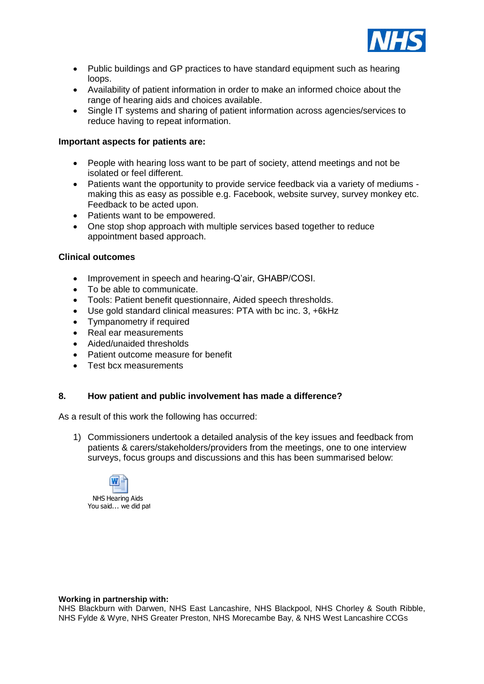

- Public buildings and GP practices to have standard equipment such as hearing loops.
- Availability of patient information in order to make an informed choice about the range of hearing aids and choices available.
- Single IT systems and sharing of patient information across agencies/services to reduce having to repeat information.

#### **Important aspects for patients are:**

- People with hearing loss want to be part of society, attend meetings and not be isolated or feel different.
- Patients want the opportunity to provide service feedback via a variety of mediums making this as easy as possible e.g. Facebook, website survey, survey monkey etc. Feedback to be acted upon.
- Patients want to be empowered.
- One stop shop approach with multiple services based together to reduce appointment based approach.

#### **Clinical outcomes**

- Improvement in speech and hearing-Q'air, GHABP/COSI.
- To be able to communicate.
- Tools: Patient benefit questionnaire, Aided speech thresholds.
- Use gold standard clinical measures: PTA with bc inc. 3, +6kHz
- Tympanometry if required
- Real ear measurements
- Aided/unaided thresholds
- Patient outcome measure for benefit
- Test bcx measurements

#### **8. How patient and public involvement has made a difference?**

As a result of this work the following has occurred:

1) Commissioners undertook a detailed analysis of the key issues and feedback from patients & carers/stakeholders/providers from the meetings, one to one interview surveys, focus groups and discussions and this has been summarised below:



#### **Working in partnership with:**